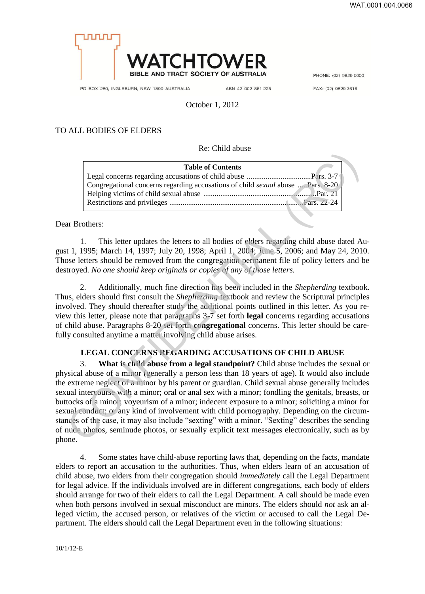

PO BOX 280, INGLEBURN, NSW 1890 AUSTRALIA

ABN 42 002 861 225

PHONE: (02) 9829 5600

FAX: (02) 9829 3616

October 1, 2012

## TO ALL BODIES OF ELDERS

Re: Child abuse

| <b>Table of Contents</b>                                                        |  |
|---------------------------------------------------------------------------------|--|
|                                                                                 |  |
| Congregational concerns regarding accusations of child sexual abuse  Pars. 8-20 |  |
|                                                                                 |  |
|                                                                                 |  |
|                                                                                 |  |

Dear Brothers:

1. This letter updates the letters to all bodies of elders regarding child abuse dated August 1, 1995; March 14, 1997; July 20, 1998; April 1, 2004; June 5, 2006; and May 24, 2010. Those letters should be removed from the congregation permanent file of policy letters and be destroyed. *No one should keep originals or copies of any of those letters.*

2. Additionally, much fine direction has been included in the *Shepherding* textbook. Thus, elders should first consult the *Shepherding* textbook and review the Scriptural principles involved. They should thereafter study the additional points outlined in this letter. As you review this letter, please note that paragraphs 3-7 set forth **legal** concerns regarding accusations of child abuse. Paragraphs 8-20 set forth **congregational** concerns. This letter should be carefully consulted anytime a matter involving child abuse arises.

## **LEGAL CONCERNS REGARDING ACCUSATIONS OF CHILD ABUSE**

3. **What is child abuse from a legal standpoint?** Child abuse includes the sexual or physical abuse of a minor (generally a person less than 18 years of age). It would also include the extreme neglect of a minor by his parent or guardian. Child sexual abuse generally includes sexual intercourse with a minor; oral or anal sex with a minor; fondling the genitals, breasts, or buttocks of a minor; voyeurism of a minor; indecent exposure to a minor; soliciting a minor for sexual conduct; or any kind of involvement with child pornography. Depending on the circumstances of the case, it may also include "sexting" with a minor. "Sexting" describes the sending of nude photos, seminude photos, or sexually explicit text messages electronically, such as by phone. CONFIDENTIAL (RC)

4. Some states have child-abuse reporting laws that, depending on the facts, mandate elders to report an accusation to the authorities. Thus, when elders learn of an accusation of child abuse, two elders from their congregation should *immediately* call the Legal Department for legal advice. If the individuals involved are in different congregations, each body of elders should arrange for two of their elders to call the Legal Department. A call should be made even when both persons involved in sexual misconduct are minors. The elders should *not* ask an alleged victim, the accused person, or relatives of the victim or accused to call the Legal Department. The elders should call the Legal Department even in the following situations: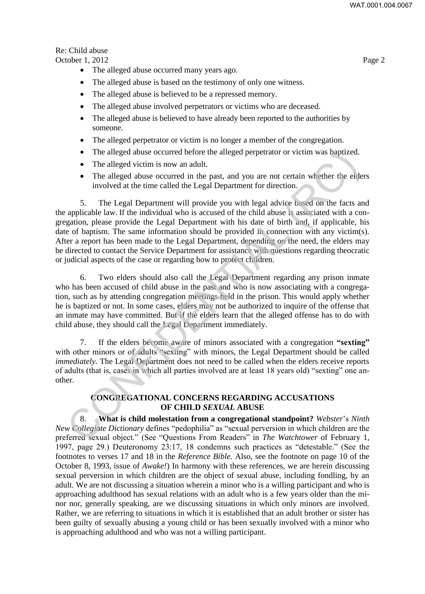# Re: Child abuse

October 1, 2012 Page 2

- The alleged abuse occurred many years ago.
- The alleged abuse is based on the testimony of only one witness.
- The alleged abuse is believed to be a repressed memory.
- The alleged abuse involved perpetrators or victims who are deceased.
- The alleged abuse is believed to have already been reported to the authorities by someone.
- The alleged perpetrator or victim is no longer a member of the congregation.
- The alleged abuse occurred before the alleged perpetrator or victim was baptized.
- The alleged victim is now an adult.
- The alleged abuse occurred in the past, and you are not certain whether the elders involved at the time called the Legal Department for direction.

5. The Legal Department will provide you with legal advice based on the facts and the applicable law. If the individual who is accused of the child abuse is associated with a congregation, please provide the Legal Department with his date of birth and, if applicable, his date of baptism. The same information should be provided in connection with any victim(s). After a report has been made to the Legal Department, depending on the need, the elders may be directed to contact the Service Department for assistance with questions regarding theocratic or judicial aspects of the case or regarding how to protect children. The alleged abuse occurred before the alleged perpetrator or victim was baptized.<br>
The alleged victim is now an adult.<br>
The alleged victim is now an adult.<br>
The alleged victim is now an adult.<br>
The Legal Department will pr

6. Two elders should also call the Legal Department regarding any prison inmate who has been accused of child abuse in the past and who is now associating with a congregation, such as by attending congregation meetings held in the prison. This would apply whether he is baptized or not. In some cases, elders may not be authorized to inquire of the offense that an inmate may have committed. But if the elders learn that the alleged offense has to do with child abuse, they should call the Legal Department immediately.

7. If the elders become aware of minors associated with a congregation **"sexting"** with other minors or of adults "sexting" with minors, the Legal Department should be called *immediately*. The Legal Department does not need to be called when the elders receive reports of adults (that is, cases in which all parties involved are at least 18 years old) "sexting" one another.

# **CONGREGATIONAL CONCERNS REGARDING ACCUSATIONS OF CHILD** *SEXUAL* **ABUSE**

8. **What is child molestation from a congregational standpoint?** *Webster*'s *Ninth New Collegiate Dictionary* defines "pedophilia" as "sexual perversion in which children are the preferred sexual object." (See "Questions From Readers" in *The Watchtower* of February 1, 1997, page 29.) Deuteronomy 23:17, 18 condemns such practices as "detestable." (See the footnotes to verses 17 and 18 in the *Reference Bible*. Also, see the footnote on page 10 of the October 8, 1993, issue of *Awake!*) In harmony with these references, we are herein discussing sexual perversion in which children are the object of sexual abuse, including fondling, by an adult. We are not discussing a situation wherein a minor who is a willing participant and who is approaching adulthood has sexual relations with an adult who is a few years older than the minor nor, generally speaking, are we discussing situations in which only minors are involved. Rather, we are referring to situations in which it is established that an adult brother or sister has been guilty of sexually abusing a young child or has been sexually involved with a minor who is approaching adulthood and who was not a willing participant.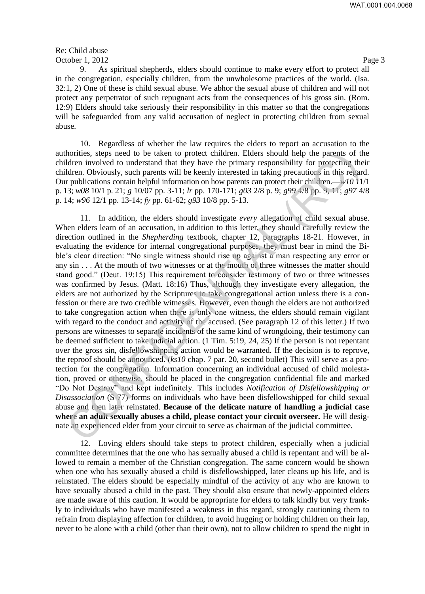Re: Child abuse October 1, 2012 Page 3

9. As spiritual shepherds, elders should continue to make every effort to protect all in the congregation, especially children, from the unwholesome practices of the world. (Isa. 32:1, 2) One of these is child sexual abuse. We abhor the sexual abuse of children and will not protect any perpetrator of such repugnant acts from the consequences of his gross sin. (Rom. 12:9) Elders should take seriously their responsibility in this matter so that the congregations will be safeguarded from any valid accusation of neglect in protecting children from sexual abuse.

10. Regardless of whether the law requires the elders to report an accusation to the authorities, steps need to be taken to protect children. Elders should help the parents of the children involved to understand that they have the primary responsibility for protecting their children. Obviously, such parents will be keenly interested in taking precautions in this regard. Our publications contain helpful information on how parents can protect their children.—*w10* 11/1 p. 13; *w08* 10/1 p. 21; *g* 10/07 pp. 3-11; *lr* pp. 170-171; *g03* 2/8 p. 9; *g99* 4/8 pp. 9, 11; *g97* 4/8 p. 14; *w96* 12/1 pp. 13-14; *fy* pp. 61-62; *g93* 10/8 pp. 5-13.

11. In addition, the elders should investigate *every* allegation of child sexual abuse. When elders learn of an accusation, in addition to this letter, they should carefully review the direction outlined in the *Shepherding* textbook, chapter 12, paragraphs 18-21. However, in evaluating the evidence for internal congregational purposes, they must bear in mind the Bible's clear direction: "No single witness should rise up against a man respecting any error or any sin . . . At the mouth of two witnesses or at the mouth of three witnesses the matter should stand good." (Deut. 19:15) This requirement to consider testimony of two or three witnesses was confirmed by Jesus. (Matt. 18:16) Thus, although they investigate every allegation, the elders are not authorized by the Scriptures to take congregational action unless there is a confession or there are two credible witnesses. However, even though the elders are not authorized to take congregation action when there is only one witness, the elders should remain vigilant with regard to the conduct and activity of the accused. (See paragraph 12 of this letter.) If two persons are witnesses to separate incidents of the same kind of wrongdoing, their testimony can be deemed sufficient to take judicial action. (1 Tim. 5:19, 24, 25) If the person is not repentant over the gross sin, disfellowshipping action would be warranted. If the decision is to reprove, the reproof should be announced. (*ks10* chap. 7 par. 20, second bullet) This will serve as a protection for the congregation. Information concerning an individual accused of child molestation, proved or otherwise, should be placed in the congregation confidential file and marked "Do Not Destroy" and kept indefinitely. This includes *Notification of Disfellowshipping or Disassociation* (S-77) forms on individuals who have been disfellowshipped for child sexual abuse and then later reinstated. **Because of the delicate nature of handling a judicial case where an adult sexually abuses a child, please contact your circuit overseer.** He will designate an experienced elder from your circuit to serve as chairman of the judicial committee. horities, steps need to be taken to protect children. Elders should help the parents of the same of other involved to understand that they have the primary responsibility for protecting the controller. Obviously, such par

12. Loving elders should take steps to protect children, especially when a judicial committee determines that the one who has sexually abused a child is repentant and will be allowed to remain a member of the Christian congregation. The same concern would be shown when one who has sexually abused a child is disfellowshipped, later cleans up his life, and is reinstated. The elders should be especially mindful of the activity of any who are known to have sexually abused a child in the past. They should also ensure that newly-appointed elders are made aware of this caution. It would be appropriate for elders to talk kindly but very frankly to individuals who have manifested a weakness in this regard, strongly cautioning them to refrain from displaying affection for children, to avoid hugging or holding children on their lap, never to be alone with a child (other than their own), not to allow children to spend the night in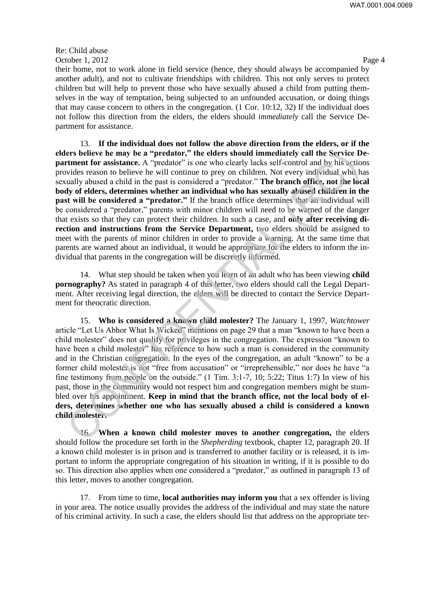# Re: Child abuse October 1, 2012 Page 4

their home, not to work alone in field service (hence, they should always be accompanied by another adult), and not to cultivate friendships with children. This not only serves to protect children but will help to prevent those who have sexually abused a child from putting themselves in the way of temptation, being subjected to an unfounded accusation, or doing things that may cause concern to others in the congregation. (1 Cor. 10:12, 32) If the individual does not follow this direction from the elders, the elders should *immediately* call the Service Department for assistance.

13. **If the individual does not follow the above direction from the elders, or if the elders believe he may be a "predator," the elders should immediately call the Service Department for assistance.** A "predator" is one who clearly lacks self-control and by his actions provides reason to believe he will continue to prey on children. Not every individual who has sexually abused a child in the past is considered a "predator." **The branch office, not the local body of elders, determines whether an individual who has sexually abused children in the past will be considered a "predator."** If the branch office determines that an individual will be considered a "predator," parents with minor children will need to be warned of the danger that exists so that they can protect their children. In such a case, and **only after receiving direction and instructions from the Service Department,** two elders should be assigned to meet with the parents of minor children in order to provide a warning. At the same time that parents are warned about an individual, it would be appropriate for the elders to inform the individual that parents in the congregation will be discreetly informed. ers believe he may be a "predator," the elders should immediately call the Service D<br>states. A "prodator" is one who clearly lack self-control and by his actious<br>lack reason to believe he will continue to prey on children

14. What step should be taken when you learn of an adult who has been viewing **child pornography?** As stated in paragraph 4 of this letter, two elders should call the Legal Department. After receiving legal direction, the elders will be directed to contact the Service Department for theocratic direction.

15. **Who is considered a known child molester?** The January 1, 1997, *Watchtower* article "Let Us Abhor What Is Wicked" mentions on page 29 that a man "known to have been a child molester" does not qualify for privileges in the congregation. The expression "known to have been a child molester" has reference to how such a man is considered in the community and in the Christian congregation. In the eyes of the congregation, an adult "known" to be a former child molester is not "free from accusation" or "irreprehensible," nor does he have "a fine testimony from people on the outside." (1 Tim. 3:1-7, 10; 5:22; Titus 1:7) In view of his past, those in the community would not respect him and congregation members might be stumbled over his appointment. **Keep in mind that the branch office, not the local body of elders, determines whether one who has sexually abused a child is considered a known child molester.**

16. **When a known child molester moves to another congregation,** the elders should follow the procedure set forth in the *Shepherding* textbook, chapter 12, paragraph 20. If a known child molester is in prison and is transferred to another facility or is released, it is important to inform the appropriate congregation of his situation in writing, if it is possible to do so. This direction also applies when one considered a "predator," as outlined in paragraph 13 of this letter, moves to another congregation.

17. From time to time, **local authorities may inform you** that a sex offender is living in your area. The notice usually provides the address of the individual and may state the nature of his criminal activity. In such a case, the elders should list that address on the appropriate ter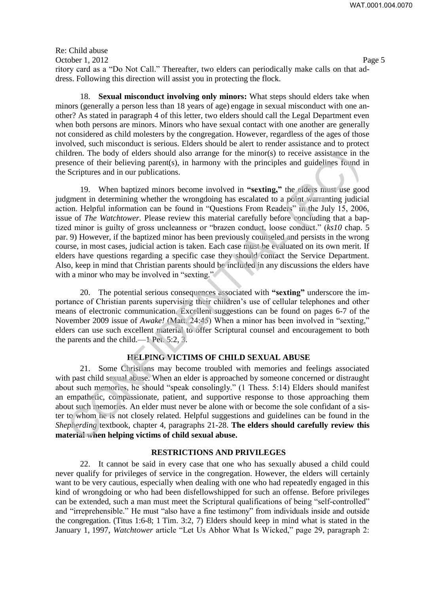Re: Child abuse October 1, 2012 Page 5 ritory card as a "Do Not Call." Thereafter, two elders can periodically make calls on that address. Following this direction will assist you in protecting the flock.

18. **Sexual misconduct involving only minors:** What steps should elders take when minors (generally a person less than 18 years of age) engage in sexual misconduct with one another? As stated in paragraph 4 of this letter, two elders should call the Legal Department even when both persons are minors. Minors who have sexual contact with one another are generally not considered as child molesters by the congregation. However, regardless of the ages of those involved, such misconduct is serious. Elders should be alert to render assistance and to protect children. The body of elders should also arrange for the minor(s) to receive assistance in the presence of their believing parent(s), in harmony with the principles and guidelines found in the Scriptures and in our publications.

19. When baptized minors become involved in **"sexting,"** the elders must use good judgment in determining whether the wrongdoing has escalated to a point warranting judicial action. Helpful information can be found in "Questions From Readers" in the July 15, 2006, issue of *The Watchtower.* Please review this material carefully before concluding that a baptized minor is guilty of gross uncleanness or "brazen conduct, loose conduct." (*ks10* chap. 5 par. 9) However, if the baptized minor has been previously counseled and persists in the wrong course, in most cases, judicial action is taken. Each case must be evaluated on its own merit. If elders have questions regarding a specific case they should contact the Service Department. Also, keep in mind that Christian parents should be included in any discussions the elders have with a minor who may be involved in "sexting." Iden. The body of elders should also arrange for the minor(s) to receive assistance in the<br>direct. The body of elders should also arrange for the principles and guidelines tound<br>Scriptures and in our publications.<br>
19. Wh

20. The potential serious consequences associated with **"sexting"** underscore the importance of Christian parents supervising their children's use of cellular telephones and other means of electronic communication. Excellent suggestions can be found on pages 6-7 of the November 2009 issue of *Awake!* (Matt. 24:45) When a minor has been involved in "sexting," elders can use such excellent material to offer Scriptural counsel and encouragement to both the parents and the child.—1 Pet. 5:2, 3.

## **HELPING VICTIMS OF CHILD SEXUAL ABUSE**

21. Some Christians may become troubled with memories and feelings associated with past child sexual abuse. When an elder is approached by someone concerned or distraught about such memories, he should "speak consolingly." (1 Thess. 5:14) Elders should manifest an empathetic, compassionate, patient, and supportive response to those approaching them about such memories. An elder must never be alone with or become the sole confidant of a sister to whom he is not closely related. Helpful suggestions and guidelines can be found in the *Shepherding* textbook, chapter 4, paragraphs 21-28. **The elders should carefully review this material when helping victims of child sexual abuse.** 

#### **RESTRICTIONS AND PRIVILEGES**

22. It cannot be said in every case that one who has sexually abused a child could never qualify for privileges of service in the congregation. However, the elders will certainly want to be very cautious, especially when dealing with one who had repeatedly engaged in this kind of wrongdoing or who had been disfellowshipped for such an offense. Before privileges can be extended, such a man must meet the Scriptural qualifications of being "self-controlled" and "irreprehensible." He must "also have a fine testimony" from individuals inside and outside the congregation. (Titus 1:6-8; 1 Tim. 3:2, 7) Elders should keep in mind what is stated in the January 1, 1997, *Watchtower* article "Let Us Abhor What Is Wicked," page 29, paragraph 2: